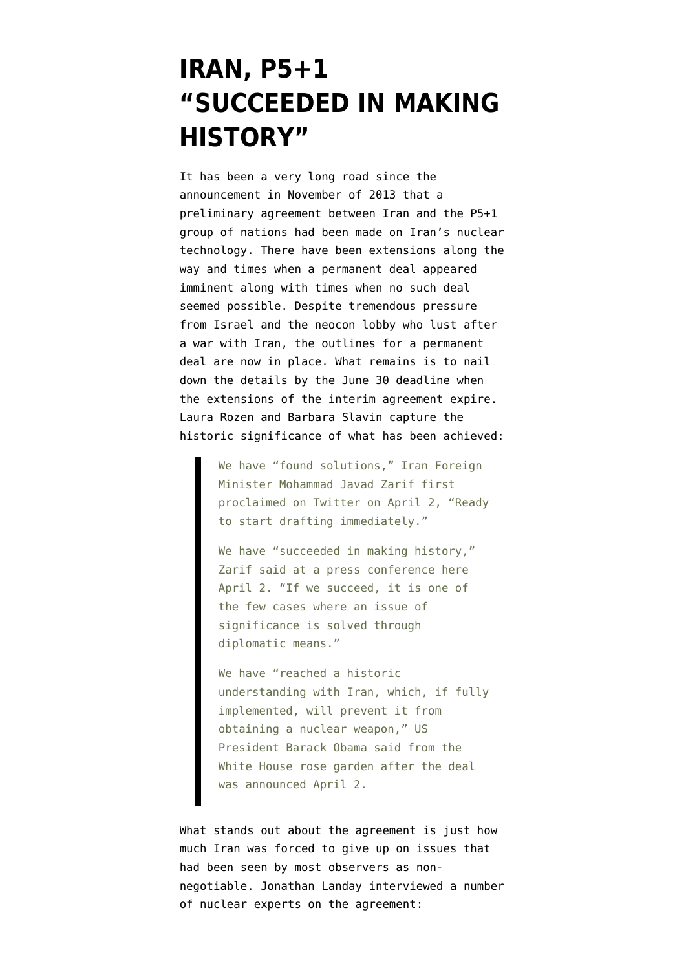## **[IRAN, P5+1](https://www.emptywheel.net/2015/04/03/iran-p51-succeeded-in-making-history/) ["SUCCEEDED IN MAKING](https://www.emptywheel.net/2015/04/03/iran-p51-succeeded-in-making-history/) [HISTORY"](https://www.emptywheel.net/2015/04/03/iran-p51-succeeded-in-making-history/)**

It has been a very long road since the announcement in November of 2013 that a [preliminary agreement](https://www.emptywheel.net/2013/11/24/historic-p51-interim-agreement-with-iran-buys-time-for-permanent-solution/) between Iran and the P5+1 group of nations had been made on Iran's nuclear technology. There have been extensions along the way and times when a permanent deal appeared imminent along with times when no such deal seemed possible. Despite tremendous pressure from Israel and the neocon lobby who lust after a war with Iran, the outlines for a permanent deal are now in place. What remains is to nail down the details by the June 30 deadline when the extensions of the interim agreement expire. Laura Rozen and Barbara Slavin capture the historic [significance of what has been achieved:](http://www.al-monitor.com/pulse/originals/2015/04/zarif-iran-deal-reactions-lausanne-nuclear-talks.html#)

> We have "found solutions," Iran Foreign Minister Mohammad Javad Zarif first proclaimed on Twitter on April 2, "Ready to start drafting immediately."

We have "succeeded in making history," Zarif said at a press conference here April 2. "If we succeed, it is one of the few cases where an issue of significance is solved through diplomatic means."

We have "reached a historic understanding with Iran, which, if fully implemented, will prevent it from obtaining a nuclear weapon," US President Barack Obama said from the White House rose garden after the deal was announced April 2.

What stands out about the agreement is just how much Iran was forced to give up on issues that had been seen by most observers as nonnegotiable. [Jonathan Landay interviewed a number](http://www.mcclatchydc.com/2015/04/02/261966/proposed-accord-far-tougher-on.html) [of nuclear experts](http://www.mcclatchydc.com/2015/04/02/261966/proposed-accord-far-tougher-on.html) on the agreement: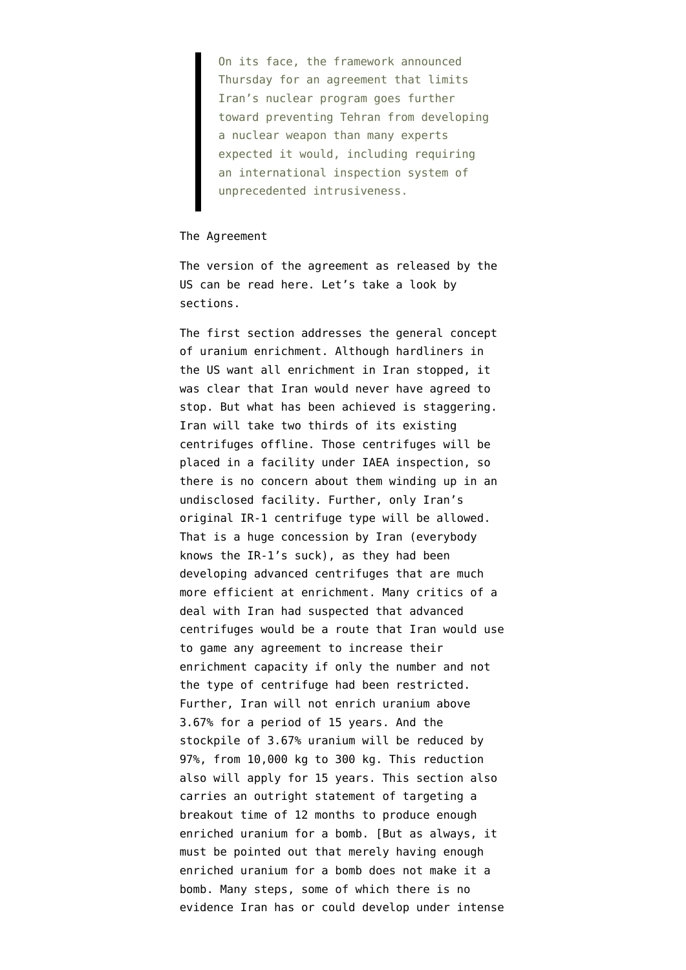On its face, the framework announced Thursday for an agreement that limits Iran's nuclear program goes further toward preventing Tehran from developing a nuclear weapon than many experts expected it would, including requiring an international inspection system of unprecedented intrusiveness.

## The Agreement

The version of the agreement as released by the US can be read [here](http://bigstory.ap.org/article/233eba228913428d81e7a465a77daca6/text-agreement-iran-its-nuclear-program). Let's take a look by sections.

The first section addresses the general concept of uranium enrichment. Although hardliners in the US want all enrichment in Iran stopped, it was clear that Iran would never have agreed to stop. But what has been achieved is staggering. Iran will take two thirds of its existing centrifuges offline. Those centrifuges will be placed in a facility under IAEA inspection, so there is no concern about them winding up in an undisclosed facility. Further, only Iran's original IR-1 centrifuge type will be allowed. That is a huge concession by Iran (everybody knows the IR-1's suck), as they had been developing advanced centrifuges that are much more efficient at enrichment. Many critics of a deal with Iran had suspected that advanced centrifuges would be a route that Iran would use to game any agreement to increase their enrichment capacity if only the number and not the type of centrifuge had been restricted. Further, Iran will not enrich uranium above 3.67% for a period of 15 years. And the stockpile of 3.67% uranium will be reduced by 97%, from 10,000 kg to 300 kg. This reduction also will apply for 15 years. This section also carries an outright statement of targeting a breakout time of 12 months to produce enough enriched uranium for a bomb. [But as always, it must be pointed out that merely having enough enriched uranium for a bomb does not make it a bomb. Many steps, some of which there is no evidence Iran has or could develop under intense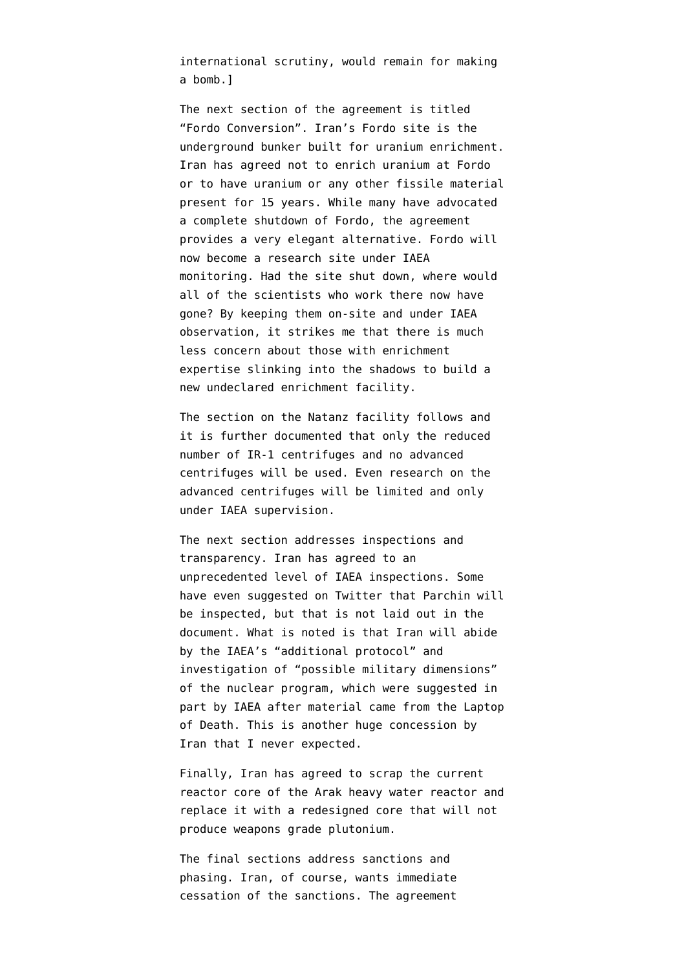international scrutiny, would remain for making a bomb.]

The next section of the agreement is titled "Fordo Conversion". Iran's Fordo site is the underground bunker built for uranium enrichment. Iran has agreed not to enrich uranium at Fordo or to have uranium or any other fissile material present for 15 years. While many have advocated a complete shutdown of Fordo, the agreement provides a very elegant alternative. Fordo will now become a research site under IAEA monitoring. Had the site shut down, where would all of the scientists who work there now have gone? By keeping them on-site and under IAEA observation, it strikes me that there is much less concern about those with enrichment expertise slinking into the shadows to build a new undeclared enrichment facility.

The section on the Natanz facility follows and it is further documented that only the reduced number of IR-1 centrifuges and no advanced centrifuges will be used. Even research on the advanced centrifuges will be limited and only under IAEA supervision.

The next section addresses inspections and transparency. Iran has agreed to an unprecedented level of IAEA inspections. Some have even suggested on Twitter that Parchin will be inspected, but that is not laid out in the document. What is noted is that Iran will abide by the IAEA's "additional protocol" and investigation of "possible military dimensions" of the nuclear program, which were suggested in part by IAEA after material came from the Laptop of Death. This is another huge concession by Iran that I never expected.

Finally, Iran has agreed to scrap the current reactor core of the Arak heavy water reactor and replace it with a redesigned core that will not produce weapons grade plutonium.

The final sections address sanctions and phasing. Iran, of course, wants immediate cessation of the sanctions. The agreement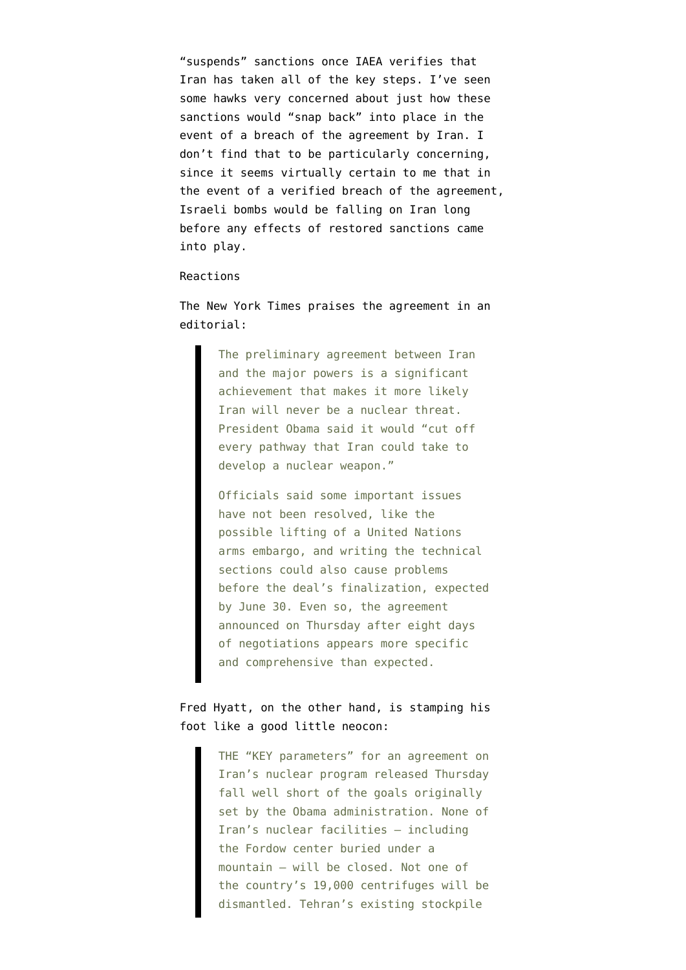"suspends" sanctions once IAEA verifies that Iran has taken all of the key steps. I've seen some hawks very concerned about just how these sanctions would "snap back" into place in the event of a breach of the agreement by Iran. I don't find that to be particularly concerning, since it seems virtually certain to me that in the event of a verified breach of the agreement, Israeli bombs would be falling on Iran long before any effects of restored sanctions came into play.

## Reactions

The New York Times [praises the agreement](http://www.nytimes.com/2015/04/03/opinion/a-promising-nuclear-deal-with-iran.html) in an editorial:

> The preliminary agreement between Iran and the major powers is a significant achievement that makes it more likely Iran will never be a nuclear threat. President Obama said it would "cut off every pathway that Iran could take to develop a nuclear weapon."

Officials said some important issues have not been resolved, like the possible lifting of a United Nations arms embargo, and writing the technical sections could also cause problems before the deal's finalization, expected by June 30. Even so, the agreement announced on Thursday after eight days of negotiations appears more specific and comprehensive than expected.

## Fred Hyatt, on the other hand, is [stamping his](http://www.washingtonpost.com/opinions/obamas-iran-deal-falls-well-short-of-his-own-goals/2015/04/02/7974413c-d95c-11e4-b3f2-607bd612aeac_story.html) [foot](http://www.washingtonpost.com/opinions/obamas-iran-deal-falls-well-short-of-his-own-goals/2015/04/02/7974413c-d95c-11e4-b3f2-607bd612aeac_story.html) like a good little neocon:

THE "KEY parameters" for an agreement on Iran's nuclear program released Thursday fall well short of the goals originally set by the Obama administration. None of Iran's nuclear facilities — including the Fordow center buried under a mountain — will be closed. Not one of the country's 19,000 centrifuges will be dismantled. Tehran's existing stockpile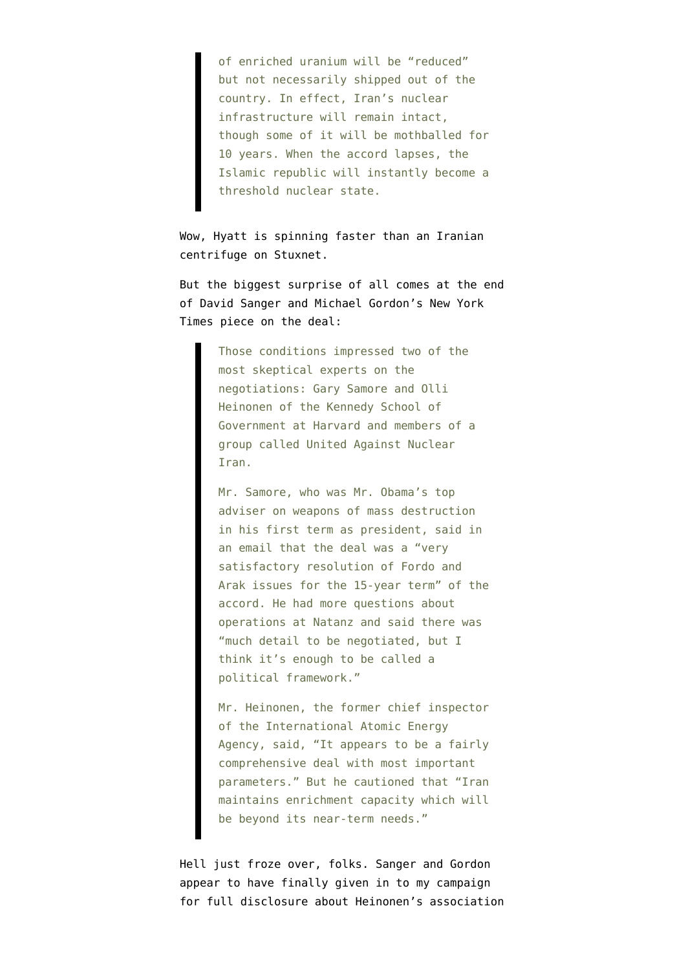of enriched uranium will be "reduced" but not necessarily shipped out of the country. In effect, Iran's nuclear infrastructure will remain intact, though some of it will be mothballed for 10 years. When the accord lapses, the Islamic republic will instantly become a threshold nuclear state.

Wow, Hyatt is spinning faster than an Iranian centrifuge on Stuxnet.

But the biggest surprise of all comes at the end of [David Sanger and Michael Gordon's New York](http://www.nytimes.com/2015/04/03/world/middleeast/iran-nuclear-talks.html) [Times piece on the deal:](http://www.nytimes.com/2015/04/03/world/middleeast/iran-nuclear-talks.html)

> Those conditions impressed two of the most skeptical experts on the negotiations: Gary Samore and Olli Heinonen of the Kennedy School of Government at Harvard and members of a group called United Against Nuclear Iran.

Mr. Samore, who was Mr. Obama's top adviser on weapons of mass destruction in his first term as president, said in an email that the deal was a "very satisfactory resolution of Fordo and Arak issues for the 15-year term" of the accord. He had more questions about operations at Natanz and said there was "much detail to be negotiated, but I think it's enough to be called a political framework."

Mr. Heinonen, the former chief inspector of the International Atomic Energy Agency, said, "It appears to be a fairly comprehensive deal with most important parameters." But he cautioned that "Iran maintains enrichment capacity which will be beyond its near-term needs."

Hell just froze over, folks. Sanger and Gordon appear to have finally given in to [my campaign](https://www.emptywheel.net/2015/03/30/heinonen-moves-deceptive-anti-iran-campaign-from-washington-post-opinion-page-to-new-york-times-news-page/) [for full disclosure](https://www.emptywheel.net/2015/03/30/heinonen-moves-deceptive-anti-iran-campaign-from-washington-post-opinion-page-to-new-york-times-news-page/) about Heinonen's association